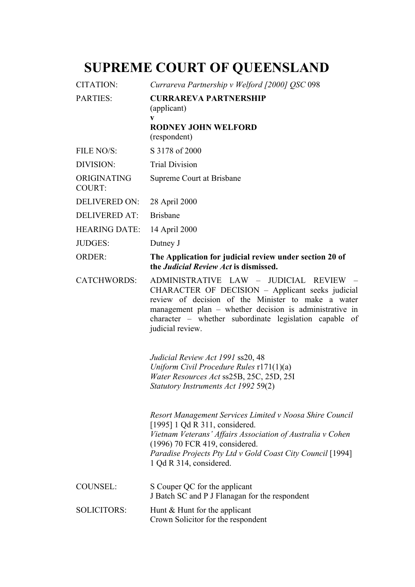## **SUPREME COURT OF QUEENSLAND**

| <b>CITATION:</b>             | Currareva Partnership v Welford [2000] QSC 098                                                                                                                                                                                                                                            |
|------------------------------|-------------------------------------------------------------------------------------------------------------------------------------------------------------------------------------------------------------------------------------------------------------------------------------------|
| <b>PARTIES:</b>              | <b>CURRAREVA PARTNERSHIP</b><br>(applicant)<br>V                                                                                                                                                                                                                                          |
|                              | <b>RODNEY JOHN WELFORD</b><br>(respondent)                                                                                                                                                                                                                                                |
| FILE NO/S:                   | S 3178 of 2000                                                                                                                                                                                                                                                                            |
| DIVISION:                    | <b>Trial Division</b>                                                                                                                                                                                                                                                                     |
| ORIGINATING<br><b>COURT:</b> | Supreme Court at Brisbane                                                                                                                                                                                                                                                                 |
| <b>DELIVERED ON:</b>         | 28 April 2000                                                                                                                                                                                                                                                                             |
| <b>DELIVERED AT:</b>         | <b>Brisbane</b>                                                                                                                                                                                                                                                                           |
| <b>HEARING DATE:</b>         | 14 April 2000                                                                                                                                                                                                                                                                             |
| <b>JUDGES:</b>               | Dutney J                                                                                                                                                                                                                                                                                  |
| <b>ORDER:</b>                | The Application for judicial review under section 20 of<br>the <i>Judicial Review Act</i> is dismissed.                                                                                                                                                                                   |
| <b>CATCHWORDS:</b>           | ADMINISTRATIVE LAW - JUDICIAL REVIEW -<br>CHARACTER OF DECISION - Applicant seeks judicial<br>review of decision of the Minister to make a water<br>management plan - whether decision is administrative in<br>character – whether subordinate legislation capable of<br>judicial review. |
|                              | Judicial Review Act 1991 ss20, 48<br>Uniform Civil Procedure Rules $r171(1)(a)$<br>Water Resources Act ss25B, 25C, 25D, 25I<br>Statutory Instruments Act 1992 59(2)                                                                                                                       |
|                              | Resort Management Services Limited v Noosa Shire Council<br>[1995] 1 Qd R 311, considered.<br>Vietnam Veterans' Affairs Association of Australia v Cohen<br>(1996) 70 FCR 419, considered.<br>Paradise Projects Pty Ltd v Gold Coast City Council [1994]<br>1 Qd R 314, considered.       |
| <b>COUNSEL:</b>              | S Couper QC for the applicant<br>J Batch SC and P J Flanagan for the respondent                                                                                                                                                                                                           |
| <b>SOLICITORS:</b>           | Hunt & Hunt for the applicant<br>Crown Solicitor for the respondent                                                                                                                                                                                                                       |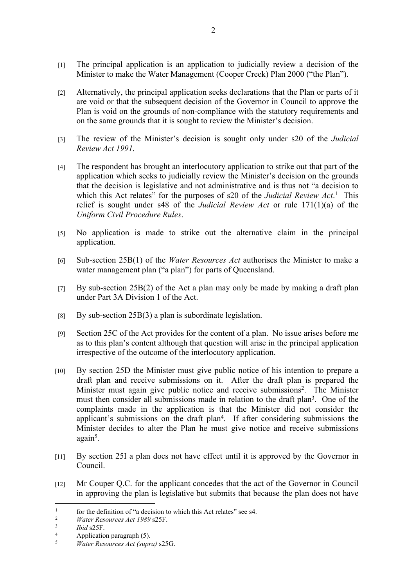- [1] The principal application is an application to judicially review a decision of the Minister to make the Water Management (Cooper Creek) Plan 2000 ("the Plan").
- [2] Alternatively, the principal application seeks declarations that the Plan or parts of it are void or that the subsequent decision of the Governor in Council to approve the Plan is void on the grounds of non-compliance with the statutory requirements and on the same grounds that it is sought to review the Minister's decision.
- [3] The review of the Minister's decision is sought only under s20 of the *Judicial Review Act 1991*.
- [4] The respondent has brought an interlocutory application to strike out that part of the application which seeks to judicially review the Minister's decision on the grounds that the decision is legislative and not administrative and is thus not "a decision to which this Act relates" for the purposes of s20 of the *Judicial Review Act*.<sup>1</sup> This relief is sought under s48 of the *Judicial Review Act* or rule 171(1)(a) of the *Uniform Civil Procedure Rules*.
- [5] No application is made to strike out the alternative claim in the principal application.
- [6] Sub-section 25B(1) of the *Water Resources Act* authorises the Minister to make a water management plan ("a plan") for parts of Queensland.
- [7] By sub-section 25B(2) of the Act a plan may only be made by making a draft plan under Part 3A Division 1 of the Act.
- [8] By sub-section  $25B(3)$  a plan is subordinate legislation.
- [9] Section 25C of the Act provides for the content of a plan. No issue arises before me as to this plan's content although that question will arise in the principal application irrespective of the outcome of the interlocutory application.
- [10] By section 25D the Minister must give public notice of his intention to prepare a draft plan and receive submissions on it. After the draft plan is prepared the Minister must again give public notice and receive submissions<sup>2</sup>. The Minister must then consider all submissions made in relation to the draft plan<sup>3</sup>. One of the complaints made in the application is that the Minister did not consider the applicant's submissions on the draft plan<sup>4</sup> . If after considering submissions the Minister decides to alter the Plan he must give notice and receive submissions again<sup>5</sup>.
- [11] By section 25I a plan does not have effect until it is approved by the Governor in Council.
- [12] Mr Couper Q.C. for the applicant concedes that the act of the Governor in Council in approving the plan is legislative but submits that because the plan does not have

4  $\frac{4}{5}$  Application paragraph (5).

<sup>1</sup>  $\frac{1}{\mu}$  for the definition of "a decision to which this Act relates" see s4.

<sup>2</sup> *Water Resources Act 1989* s25F.

<sup>3</sup> *Ibid* s25F.

<sup>5</sup> *Water Resources Act (supra)* s25G.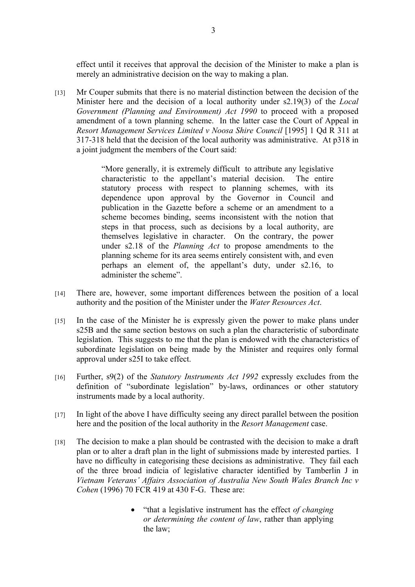effect until it receives that approval the decision of the Minister to make a plan is merely an administrative decision on the way to making a plan.

[13] Mr Couper submits that there is no material distinction between the decision of the Minister here and the decision of a local authority under s2.19(3) of the *Local Government (Planning and Environment) Act 1990* to proceed with a proposed amendment of a town planning scheme. In the latter case the Court of Appeal in *Resort Management Services Limited v Noosa Shire Council* [1995] 1 Qd R 311 at 317-318 held that the decision of the local authority was administrative. At p318 in a joint judgment the members of the Court said:

> "More generally, it is extremely difficult to attribute any legislative characteristic to the appellant's material decision. The entire statutory process with respect to planning schemes, with its dependence upon approval by the Governor in Council and publication in the Gazette before a scheme or an amendment to a scheme becomes binding, seems inconsistent with the notion that steps in that process, such as decisions by a local authority, are themselves legislative in character. On the contrary, the power under s2.18 of the *Planning Act* to propose amendments to the planning scheme for its area seems entirely consistent with, and even perhaps an element of, the appellant's duty, under s2.16, to administer the scheme".

- [14] There are, however, some important differences between the position of a local authority and the position of the Minister under the *Water Resources Act*.
- [15] In the case of the Minister he is expressly given the power to make plans under s25B and the same section bestows on such a plan the characteristic of subordinate legislation. This suggests to me that the plan is endowed with the characteristics of subordinate legislation on being made by the Minister and requires only formal approval under s25I to take effect.
- [16] Further, s9(2) of the *Statutory Instruments Act 1992* expressly excludes from the definition of "subordinate legislation" by-laws, ordinances or other statutory instruments made by a local authority.
- [17] In light of the above I have difficulty seeing any direct parallel between the position here and the position of the local authority in the *Resort Management* case.
- [18] The decision to make a plan should be contrasted with the decision to make a draft plan or to alter a draft plan in the light of submissions made by interested parties. I have no difficulty in categorising these decisions as administrative. They fail each of the three broad indicia of legislative character identified by Tamberlin J in *Vietnam Veterans' Affairs Association of Australia New South Wales Branch Inc v Cohen* (1996) 70 FCR 419 at 430 F-G. These are:
	- "that a legislative instrument has the effect *of changing or determining the content of law*, rather than applying the law;